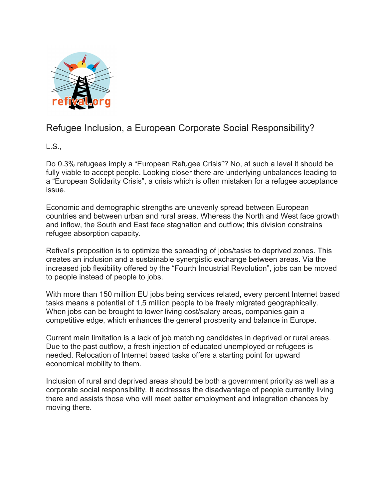

## Refugee Inclusion, a European Corporate Social Responsibility?

L.S.,

Do 0.3% refugees imply a "European Refugee Crisis"? No, at such a level it should be fully viable to accept people. Looking closer there are underlying unbalances leading to a "European Solidarity Crisis", a crisis which is often mistaken for a refugee acceptance issue.

Economic and demographic strengths are unevenly spread between European countries and between urban and rural areas. Whereas the North and West face growth and inflow, the South and East face stagnation and outflow; this division constrains refugee absorption capacity.

Refival's proposition is to optimize the spreading of jobs/tasks to deprived zones. This creates an inclusion and a sustainable synergistic exchange between areas. Via the increased job flexibility offered by the "Fourth Industrial Revolution", jobs can be moved to people instead of people to jobs.

With more than 150 million EU jobs being services related, every percent Internet based tasks means a potential of 1,5 million people to be freely migrated geographically. When jobs can be brought to lower living cost/salary areas, companies gain a competitive edge, which enhances the general prosperity and balance in Europe.

Current main limitation is a lack of job matching candidates in deprived or rural areas. Due to the past outflow, a fresh injection of educated unemployed or refugees is needed. Relocation of Internet based tasks offers a starting point for upward economical mobility to them.

Inclusion of rural and deprived areas should be both a government priority as well as a corporate social responsibility. It addresses the disadvantage of people currently living there and assists those who will meet better employment and integration chances by moving there.